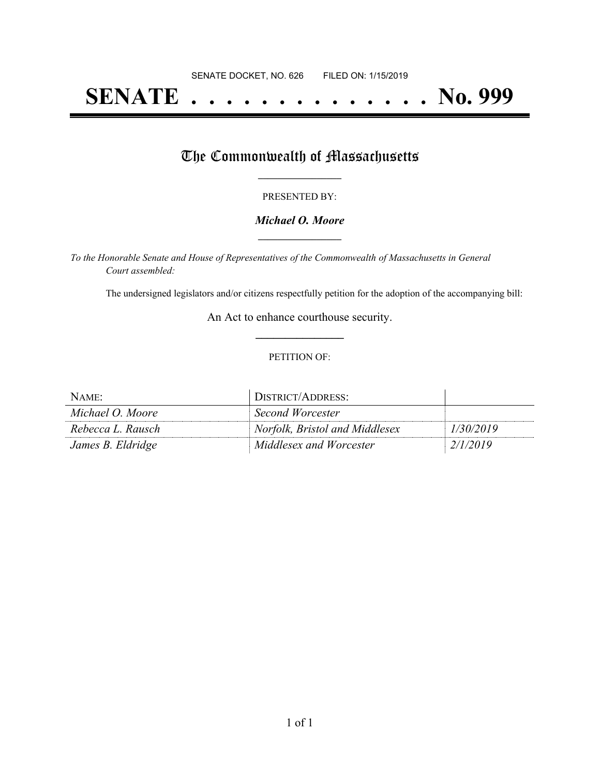# **SENATE . . . . . . . . . . . . . . No. 999**

## The Commonwealth of Massachusetts

#### PRESENTED BY:

#### *Michael O. Moore* **\_\_\_\_\_\_\_\_\_\_\_\_\_\_\_\_\_**

*To the Honorable Senate and House of Representatives of the Commonwealth of Massachusetts in General Court assembled:*

The undersigned legislators and/or citizens respectfully petition for the adoption of the accompanying bill:

An Act to enhance courthouse security. **\_\_\_\_\_\_\_\_\_\_\_\_\_\_\_**

#### PETITION OF:

| NAME:             | DISTRICT/ADDRESS:              |           |
|-------------------|--------------------------------|-----------|
| Michael O. Moore  | Second Worcester               |           |
| Rebecca L. Rausch | Norfolk, Bristol and Middlesex | 1/30/2019 |
| James B. Eldridge | Middlesex and Worcester        | 2/1/2019  |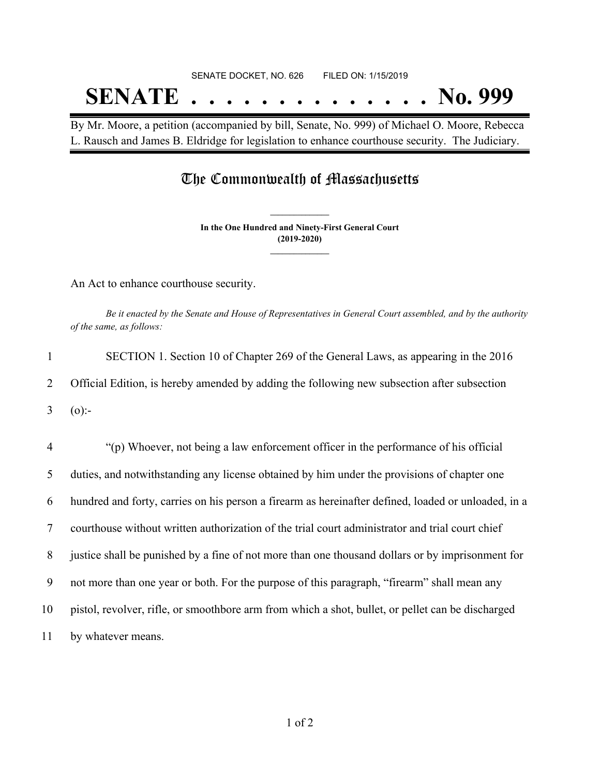# SENATE DOCKET, NO. 626 FILED ON: 1/15/2019 **SENATE . . . . . . . . . . . . . . No. 999**

By Mr. Moore, a petition (accompanied by bill, Senate, No. 999) of Michael O. Moore, Rebecca L. Rausch and James B. Eldridge for legislation to enhance courthouse security. The Judiciary.

### The Commonwealth of Massachusetts

**In the One Hundred and Ninety-First General Court (2019-2020) \_\_\_\_\_\_\_\_\_\_\_\_\_\_\_**

**\_\_\_\_\_\_\_\_\_\_\_\_\_\_\_**

An Act to enhance courthouse security.

Be it enacted by the Senate and House of Representatives in General Court assembled, and by the authority *of the same, as follows:*

| 1              | SECTION 1. Section 10 of Chapter 269 of the General Laws, as appearing in the 2016                  |
|----------------|-----------------------------------------------------------------------------------------------------|
| 2              | Official Edition, is hereby amended by adding the following new subsection after subsection         |
| 3              | $(0)$ :-                                                                                            |
| $\overline{4}$ | "(p) Whoever, not being a law enforcement officer in the performance of his official                |
| 5              | duties, and notwithstanding any license obtained by him under the provisions of chapter one         |
| 6              | hundred and forty, carries on his person a firearm as hereinafter defined, loaded or unloaded, in a |
| $\overline{7}$ | courthouse without written authorization of the trial court administrator and trial court chief     |
| 8              | justice shall be punished by a fine of not more than one thousand dollars or by imprisonment for    |
| 9              | not more than one year or both. For the purpose of this paragraph, "firearm" shall mean any         |
| 10             | pistol, revolver, rifle, or smoothbore arm from which a shot, bullet, or pellet can be discharged   |
| 11             | by whatever means.                                                                                  |